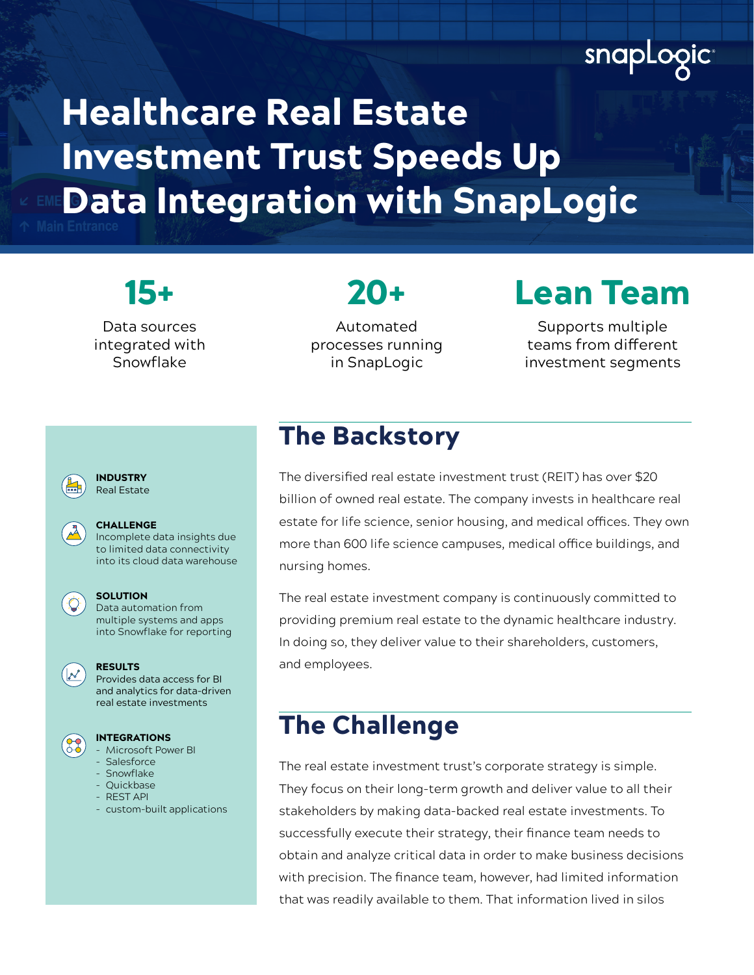# snapLogic

# Healthcare Real Estate Investment Trust Speeds Up Data Integration with SnapLogic

Data sources integrated with Snowflake

Automated processes running in SnapLogic

20+

# 15+ Lean Team

Supports multiple teams from different investment segments



Incomplete data insights due to limited data connectivity into its cloud data warehouse



### **SOLUTION**

CHALLENGE

 $\left\{ \bigcirc \right\}$  Data automation from multiple systems and apps into Snowflake for reporting



Provides data access for BI and analytics for data-driven real estate investments



### INTEGRATIONS

- Microsoft Power BI
- Salesforce
- Snowflake - Quickbase
- REST API
- custom-built applications

## The Backstory

The diversified real estate investment trust (REIT) has over \$20 billion of owned real estate. The company invests in healthcare real estate for life science, senior housing, and medical offices. They own more than 600 life science campuses, medical office buildings, and nursing homes.

The real estate investment company is continuously committed to providing premium real estate to the dynamic healthcare industry. In doing so, they deliver value to their shareholders, customers, and employees.

### The Challenge

The real estate investment trust's corporate strategy is simple. They focus on their long-term growth and deliver value to all their stakeholders by making data-backed real estate investments. To successfully execute their strategy, their finance team needs to obtain and analyze critical data in order to make business decisions with precision. The finance team, however, had limited information that was readily available to them. That information lived in silos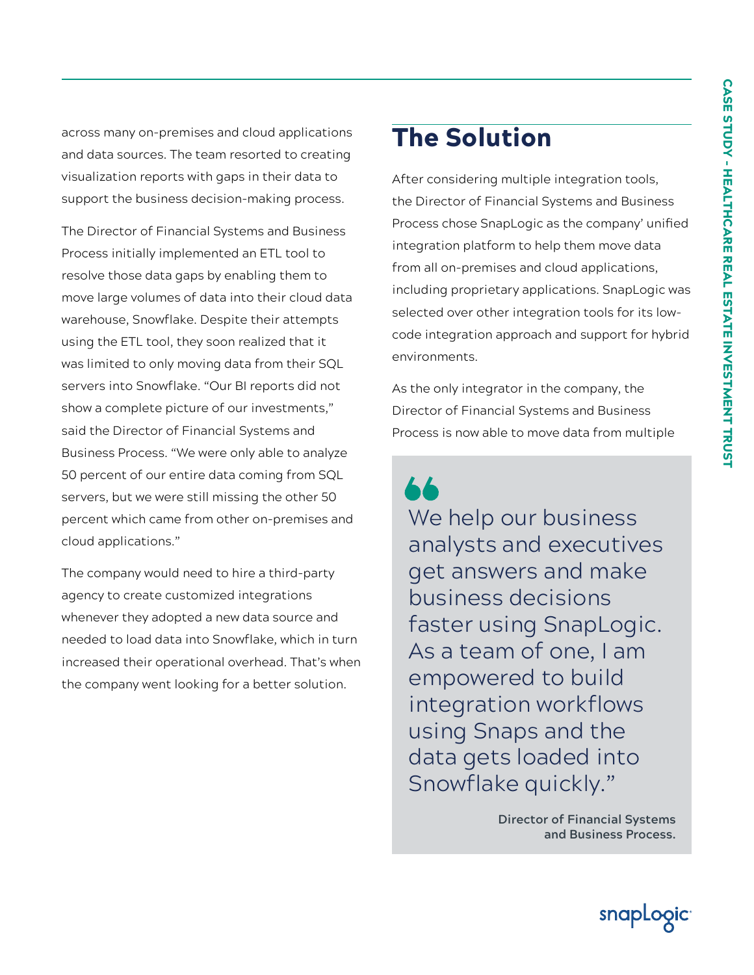across many on-premises and cloud applications and data sources. The team resorted to creating visualization reports with gaps in their data to support the business decision-making process.

The Director of Financial Systems and Business Process initially implemented an ETL tool to resolve those data gaps by enabling them to move large volumes of data into their cloud data warehouse, Snowflake. Despite their attempts using the ETL tool, they soon realized that it was limited to only moving data from their SQL servers into Snowflake. "Our BI reports did not show a complete picture of our investments," said the Director of Financial Systems and Business Process. "We were only able to analyze 50 percent of our entire data coming from SQL servers, but we were still missing the other 50 percent which came from other on-premises and cloud applications."

The company would need to hire a third-party agency to create customized integrations whenever they adopted a new data source and needed to load data into Snowflake, which in turn increased their operational overhead. That's when the company went looking for a better solution.

# The Solution

After considering multiple integration tools, the Director of Financial Systems and Business Process chose SnapLogic as the company' unified integration platform to help them move data from all on-premises and cloud applications, including proprietary applications. SnapLogic was selected over other integration tools for its lowcode integration approach and support for hybrid environments.

As the only integrator in the company, the Director of Financial Systems and Business Process is now able to move data from multiple

We help our business analysts and executives get answers and make business decisions faster using SnapLogic. As a team of one, I am empowered to build integration workflows using Snaps and the data gets loaded into Snowflake quickly."

> **Director of Financial Systems and Business Process.**

> > snapLogict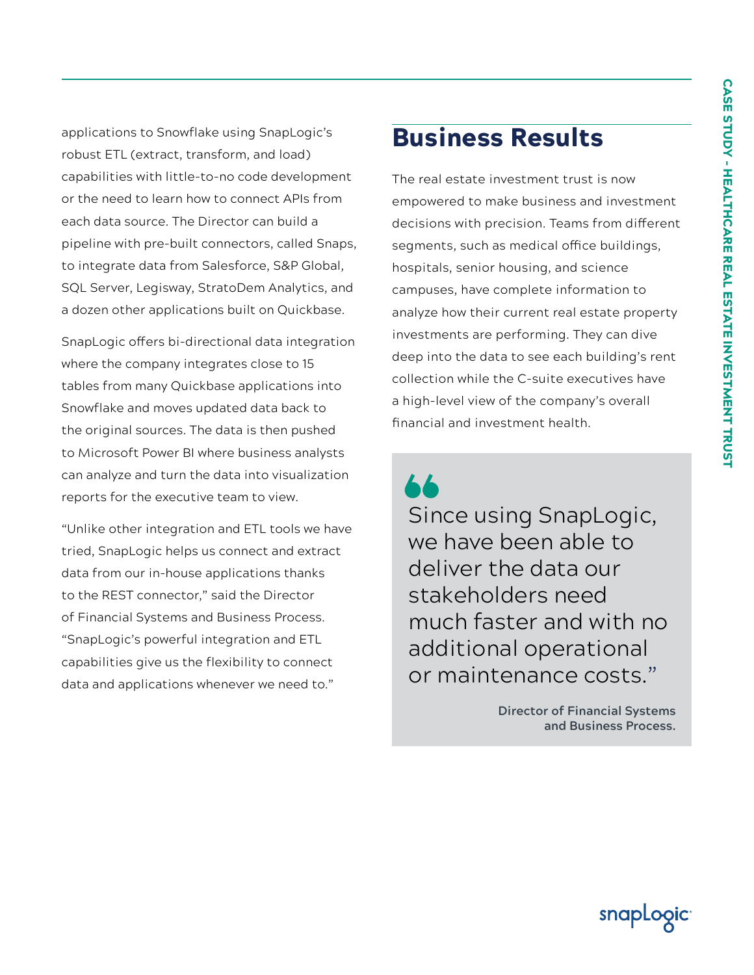applications to Snowflake using SnapLogic's robust ETL (extract, transform, and load) capabilities with little-to-no code development or the need to learn how to connect APIs from each data source. The Director can build a pipeline with pre-built connectors, called Snaps, to integrate data from Salesforce, S&P Global, SQL Server, Legisway, StratoDem Analytics, and a dozen other applications built on Quickbase.

SnapLogic offers bi-directional data integration where the company integrates close to 15 tables from many Quickbase applications into Snowflake and moves updated data back to the original sources. The data is then pushed to Microsoft Power BI where business analysts can analyze and turn the data into visualization reports for the executive team to view.

"Unlike other integration and ETL tools we have tried, SnapLogic helps us connect and extract data from our in-house applications thanks to the REST connector," said the Director of Financial Systems and Business Process. "SnapLogic's powerful integration and ETL capabilities give us the flexibility to connect data and applications whenever we need to."

## Business Results

The real estate investment trust is now empowered to make business and investment decisions with precision. Teams from different segments, such as medical office buildings, hospitals, senior housing, and science campuses, have complete information to analyze how their current real estate property investments are performing. They can dive deep into the data to see each building's rent collection while the C-suite executives have a high-level view of the company's overall financial and investment health.

Since using SnapLogic, we have been able to deliver the data our stakeholders need much faster and with no additional operational or maintenance costs."

> **Director of Financial Systems and Business Process.**